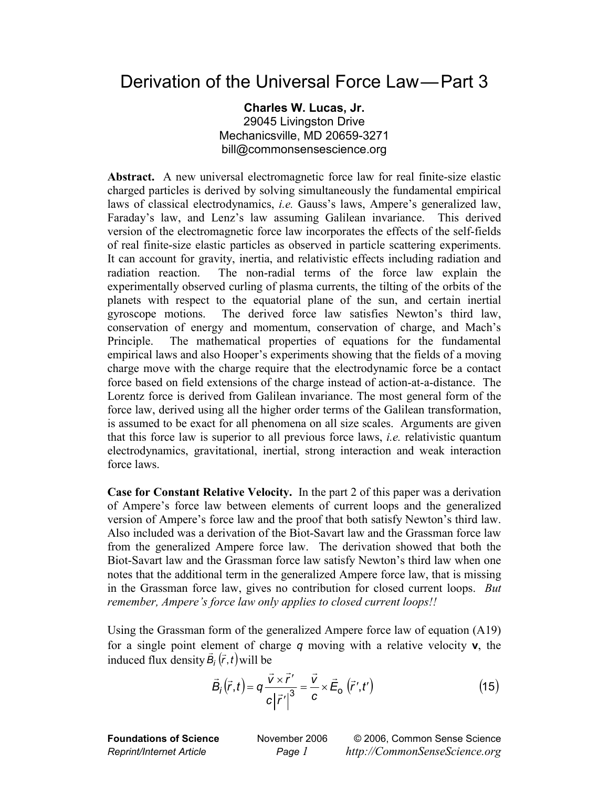## Derivation of the Universal Force Law—Part 3

**Charles W. Lucas, Jr.**  29045 Livingston Drive Mechanicsville, MD 20659-3271 bill@commonsensescience.org

**Abstract.** A new universal electromagnetic force law for real finite-size elastic charged particles is derived by solving simultaneously the fundamental empirical laws of classical electrodynamics, *i.e.* Gauss's laws, Ampere's generalized law, Faraday's law, and Lenz's law assuming Galilean invariance. This derived version of the electromagnetic force law incorporates the effects of the self-fields of real finite-size elastic particles as observed in particle scattering experiments. It can account for gravity, inertia, and relativistic effects including radiation and radiation reaction. The non-radial terms of the force law explain the experimentally observed curling of plasma currents, the tilting of the orbits of the planets with respect to the equatorial plane of the sun, and certain inertial gyroscope motions. The derived force law satisfies Newton's third law, conservation of energy and momentum, conservation of charge, and Mach's Principle. The mathematical properties of equations for the fundamental empirical laws and also Hooper's experiments showing that the fields of a moving charge move with the charge require that the electrodynamic force be a contact force based on field extensions of the charge instead of action-at-a-distance. The Lorentz force is derived from Galilean invariance. The most general form of the force law, derived using all the higher order terms of the Galilean transformation, is assumed to be exact for all phenomena on all size scales. Arguments are given that this force law is superior to all previous force laws, *i.e.* relativistic quantum electrodynamics, gravitational, inertial, strong interaction and weak interaction force laws.

**Case for Constant Relative Velocity.** In the part 2 of this paper was a derivation of Ampere's force law between elements of current loops and the generalized version of Ampere's force law and the proof that both satisfy Newton's third law. Also included was a derivation of the Biot-Savart law and the Grassman force law from the generalized Ampere force law. The derivation showed that both the Biot-Savart law and the Grassman force law satisfy Newton's third law when one notes that the additional term in the generalized Ampere force law, that is missing in the Grassman force law, gives no contribution for closed current loops. *But remember, Ampere's force law only applies to closed current loops!!* 

Using the Grassman form of the generalized Ampere force law of equation (A19) for a single point element of charge *q* moving with a relative velocity **v**, the induced flux density  $\vec{B}_i(\vec{r}, t)$  will be

$$
\vec{B}_i(\vec{r},t) = q \frac{\vec{v} \times \vec{r}'}{c |\vec{r}'|^{3}} = \frac{\vec{v}}{c} \times \vec{E}_0 \left(\vec{r}',t'\right)
$$
(15)

**Foundations of Science** November 2006 © 2006, Common Sense Science *Reprint/Internet Article Page 1 http://CommonSenseScience.org*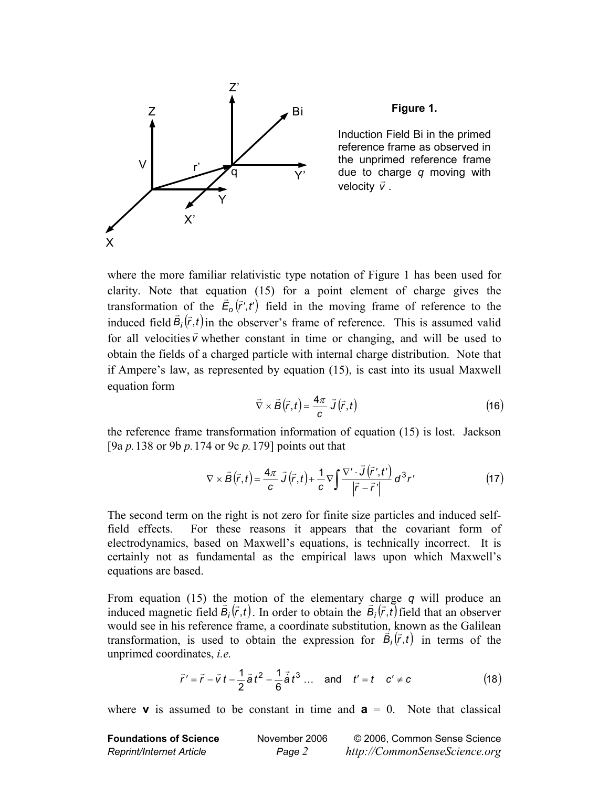

**Figure 1.** 

Induction Field Bi in the primed reference frame as observed in the unprimed reference frame due to charge *q* moving with velocity  $\vec{v}$ .

where the more familiar relativistic type notation of Figure 1 has been used for clarity. Note that equation (15) for a point element of charge gives the transformation of the  $\vec{E}_0(\vec{r}', t')$  field in the moving frame of reference to the induced field  $\vec{B}_i(\vec{r},t)$  in the observer's frame of reference. This is assumed valid for all velocities  $\vec{v}$  whether constant in time or changing, and will be used to obtain the fields of a charged particle with internal charge distribution. Note that if Ampere's law, as represented by equation (15), is cast into its usual Maxwell equation form

$$
\vec{\nabla} \times \vec{B}(\vec{r},t) = \frac{4\pi}{c} \vec{J}(\vec{r},t)
$$
 (16)

the reference frame transformation information of equation (15) is lost. Jackson [9a *p.* 138 or 9b *p.* 174 or 9c *p.* 179] points out that

$$
\nabla \times \vec{B}(\vec{r},t) = \frac{4\pi}{c} \vec{J}(\vec{r},t) + \frac{1}{c} \nabla \int \frac{\nabla' \cdot \vec{J}(\vec{r}',t')}{|\vec{r} - \vec{r}'|} d^3r' \tag{17}
$$

The second term on the right is not zero for finite size particles and induced selffield effects. For these reasons it appears that the covariant form of electrodynamics, based on Maxwell's equations, is technically incorrect. It is certainly not as fundamental as the empirical laws upon which Maxwell's equations are based.

From equation (15) the motion of the elementary charge *q* will produce an induced magnetic field  $\vec{B}_i(\vec{r},t)$ . In order to obtain the  $\vec{B}_i(\vec{r},t)$  field that an observer would see in his reference frame, a coordinate substitution, known as the Galilean transformation, is used to obtain the expression for  $\vec{B}_i(\vec{r},t)$  in terms of the unprimed coordinates, *i.e.* 

$$
\vec{r}' = \vec{r} - \vec{v}t - \frac{1}{2}\vec{a}t^2 - \frac{1}{6}\vec{a}t^3
$$
 ... and  $t' = t$   $c' \neq c$  (18)

where **v** is assumed to be constant in time and  $\mathbf{a} = 0$ . Note that classical

| <b>Foundations of Science</b>   | November 2006 | © 2006, Common Sense Science  |
|---------------------------------|---------------|-------------------------------|
| <b>Reprint/Internet Article</b> | Page 2        | http://CommonSenseScience.org |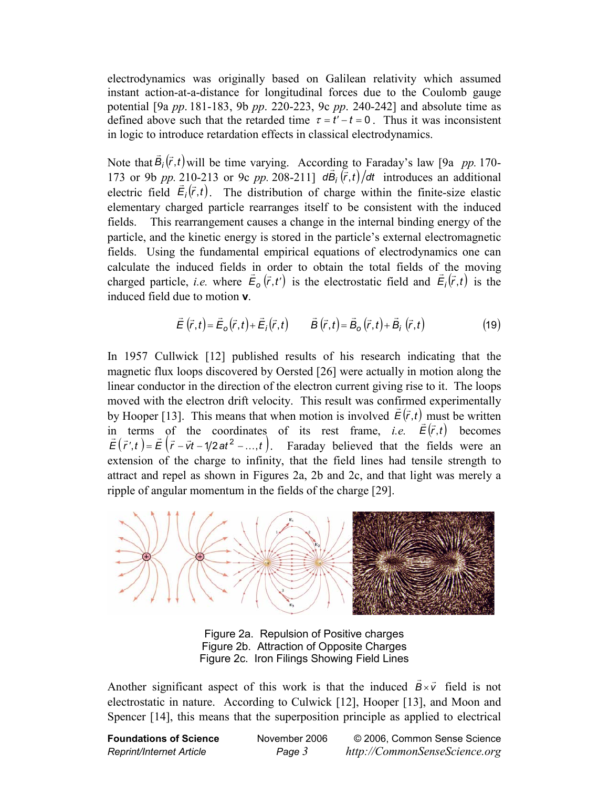electrodynamics was originally based on Galilean relativity which assumed instant action-at-a-distance for longitudinal forces due to the Coulomb gauge potential [9a *pp*. 181-183, 9b *pp*. 220-223, 9c *pp*. 240-242] and absolute time as defined above such that the retarded time  $\tau = t'-t = 0$ . Thus it was inconsistent in logic to introduce retardation effects in classical electrodynamics.

Note that  $\vec{B}_i(\vec{r},t)$  will be time varying. According to Faraday's law [9a *pp.* 170-173 or 9b *pp.* 210-213 or 9c *pp.* 208-211]  $d\vec{B}$   $(\vec{r}, t)/dt$  introduces an additional electric field  $\vec{E}_i(\vec{r},t)$ . The distribution of charge within the finite-size elastic elementary charged particle rearranges itself to be consistent with the induced fields. This rearrangement causes a change in the internal binding energy of the particle, and the kinetic energy is stored in the particle's external electromagnetic fields. Using the fundamental empirical equations of electrodynamics one can calculate the induced fields in order to obtain the total fields of the moving charged particle, *i.e.* where  $\vec{E}_o(\vec{r}, t')$  is the electrostatic field and  $\vec{E}_i(\vec{r}, t)$  is the induced field due to motion **v**.

$$
\vec{E}(\vec{r},t) = \vec{E}_o(\vec{r},t) + \vec{E}_i(\vec{r},t) \qquad \vec{B}(\vec{r},t) = \vec{B}_o(\vec{r},t) + \vec{B}_i(\vec{r},t)
$$
(19)

In 1957 Cullwick [12] published results of his research indicating that the magnetic flux loops discovered by Oersted [26] were actually in motion along the linear conductor in the direction of the electron current giving rise to it. The loops moved with the electron drift velocity. This result was confirmed experimentally by Hooper [13]. This means that when motion is involved  $\vec{E}(\vec{r},t)$  must be written in terms of the coordinates of its rest frame, *i.e.*  $\vec{E}(\vec{r},t)$  becomes  $\vec{E}(\vec{r}',t) = \vec{E}(\vec{r} - \vec{v}t - 1/2at^2 - \dots, t)$ . Faraday believed that the fields were an extension of the charge to infinity, that the field lines had tensile strength to attract and repel as shown in Figures 2a, 2b and 2c, and that light was merely a ripple of angular momentum in the fields of the charge [29].



Figure 2a. Repulsion of Positive charges Figure 2b. Attraction of Opposite Charges Figure 2c. Iron Filings Showing Field Lines

Another significant aspect of this work is that the induced  $\vec{B} \times \vec{v}$  field is not electrostatic in nature. According to Culwick [12], Hooper [13], and Moon and Spencer [14], this means that the superposition principle as applied to electrical

**Foundations of Science** November 2006 © 2006, Common Sense Science *Reprint/Internet Article Page 3 http://CommonSenseScience.org*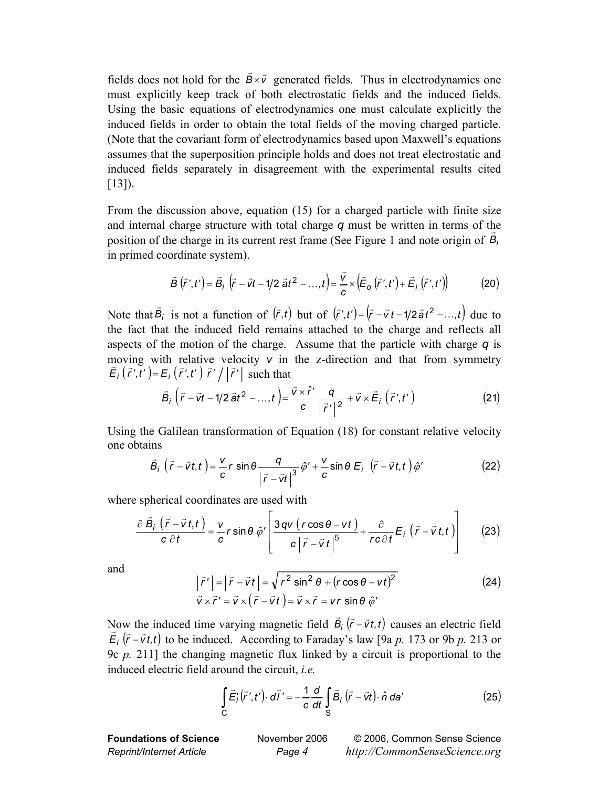fields does not hold for the  $\vec{B} \times \vec{v}$  generated fields. Thus in electrodynamics one must explicitly keep track of both electrostatic fields and the induced fields. Using the basic equations of electrodynamics one must calculate explicitly the induced fields in order to obtain the total fields of the moving charged particle. (Note that the covariant form of electrodynamics based upon Maxwell's equations assumes that the superposition principle holds and does not treat electrostatic and induced fields separately in disagreement with the experimental results cited [13]).

From the discussion above, equation (15) for a charged particle with finite size and internal charge structure with total charge *q* must be written in terms of the position of the charge in its current rest frame (See Figure 1 and note origin of  $\vec{B}_i$ ) in primed coordinate system).

$$
\vec{B}(\vec{r}',t') = \vec{B}_i(\vec{r}-\vec{v}t-1/2\vec{a}t^2-...,t) = \frac{\vec{v}}{c} \times (\vec{E}_o(\vec{r}',t') + \vec{E}_i(\vec{r}',t')) \tag{20}
$$

Note that  $\vec{B}_i$  is not a function of  $(\vec{r}, t)$  but of  $(\vec{r}', t') = (\vec{r} - \vec{v}t - 1/2\vec{a}t^2 - ... , t)$  due to the fact that the induced field remains attached to the charge and reflects all aspects of the motion of the charge. Assume that the particle with charge *q* is moving with relative velocity *v* in the z-direction and that from symmetry  $\vec{E}_i(\vec{r}', \vec{t}') = E_i(\vec{r}', t') \vec{r}' / |\vec{r}'|$  such that

$$
\vec{B}_i \left( \vec{r} - \vec{v}t - 1/2 \vec{a}t^2 - \dots, t \right) = \frac{\vec{v} \times \hat{r}'}{c} \frac{q}{|\vec{r}'|^2} + \vec{v} \times \vec{E}_i \left( \vec{r}', t' \right)
$$
(21)

Using the Galilean transformation of Equation (18) for constant relative velocity one obtains

$$
\vec{B}_i \left( \vec{r} - \vec{v}t, t \right) = \frac{v}{c} r \sin \theta \frac{q}{\left| \vec{r} - \vec{v}t \right|^3} \hat{\phi}' + \frac{v}{c} \sin \theta \ E_i \left( \vec{r} - \vec{v}t, t \right) \hat{\phi}' \tag{22}
$$

where spherical coordinates are used with

$$
\frac{\partial \vec{B}_i (\vec{r} - \vec{v}t, t)}{c \partial t} = \frac{v}{c} r \sin \theta \hat{\varphi}' \left[ \frac{3 q v (r \cos \theta - vt)}{c |\vec{r} - \vec{v}t|^5} + \frac{\partial}{r c \partial t} E_i (\vec{r} - \vec{v}t, t) \right]
$$
(23)

and

$$
\begin{aligned}\n\left|\vec{r}\right| &= \left|\vec{r} - \vec{v}t\right| = \sqrt{r^2 \sin^2 \theta + (r \cos \theta - vt)^2} \\
\vec{v} \times \vec{r}\right|' &= \vec{v} \times (\vec{r} - \vec{v}t) = \vec{v} \times \vec{r} = vr \sin \theta \hat{\varphi}'\n\end{aligned}
$$
\n(24)

Now the induced time varying magnetic field  $\vec{B}_i (\vec{r} - \vec{v}t, t)$  causes an electric field  $\vec{E}_i$  ( $\vec{r}$  – $\vec{v}$ *t*,*t*) to be induced. According to Faraday's law [9a *p*. 173 or 9b *p*. 213 or 9c *p.* 211] the changing magnetic flux linked by a circuit is proportional to the induced electric field around the circuit, *i.e.*

$$
\int_{C} \vec{E}_{i}'(\vec{r}',t') \cdot d\vec{l}' = -\frac{1}{c} \frac{d}{dt} \int_{S} \vec{B}_{i}(\vec{r} - \vec{v}t) \cdot \hat{n} \, da' \tag{25}
$$

**Foundations of Science** November 2006 © 2006, Common Sense Science *Reprint/Internet Article Page 4 http://CommonSenseScience.org*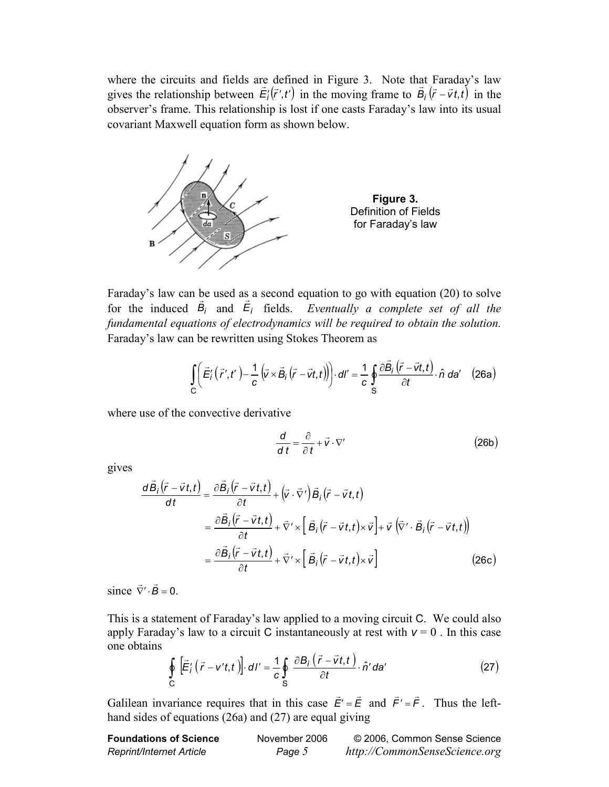where the circuits and fields are defined in Figure 3. Note that Faraday's law gives the relationship between  $\vec{E}_i^{\prime}(\vec{r}', t')$  in the moving frame to  $\vec{B}_i^{\prime}(\vec{r} - \vec{v} t, t)$  in the observer's frame. This relationship is lost if one casts Faraday's law into its usual covariant Maxwell equation form as shown below.



Faraday's law can be used as a second equation to go with equation (20) to solve for the induced  $\vec{B}_i$  and  $\vec{E}_i$  fields. *Eventually a complete set of all the fundamental equations of electrodynamics will be required to obtain the solution.* Faraday's law can be rewritten using Stokes Theorem as

$$
\int_{C} \left( \vec{E}_{i}'\left( \vec{r}',t'\right) - \frac{1}{c} \left( \vec{v} \times \vec{B}_{i}\left( \vec{r} - \vec{v}t,t \right) \right) \right) \cdot d\vec{l}' = \frac{1}{c} \oint_{S} \frac{\partial \vec{B}_{i}\left( \vec{r} - \vec{v}t,t \right)}{\partial t} \cdot \hat{n} \, da' \quad (26a)
$$

where use of the convective derivative

$$
\frac{d}{dt} = \frac{\partial}{\partial t} + \vec{v} \cdot \nabla' \tag{26b}
$$

gives

$$
\frac{d\vec{B}_i(\vec{r} - \vec{v}t,t)}{dt} = \frac{\partial \vec{B}_i(\vec{r} - \vec{v}t,t)}{\partial t} + (\vec{v} \cdot \vec{\nabla}') \vec{B}_i(\vec{r} - \vec{v}t,t)
$$
  
\n
$$
= \frac{\partial \vec{B}_i(\vec{r} - \vec{v}t,t)}{\partial t} + \vec{\nabla}' \times [\vec{B}_i(\vec{r} - \vec{v}t,t) \times \vec{v}] + \vec{v} (\vec{\nabla}' \cdot \vec{B}_i(\vec{r} - \vec{v}t,t))
$$
  
\n
$$
= \frac{\partial \vec{B}_i(\vec{r} - \vec{v}t,t)}{\partial t} + \vec{\nabla}' \times [\vec{B}_i(\vec{r} - \vec{v}t,t) \times \vec{v}]
$$
(26c)

since  $\vec{\nabla}' \cdot \vec{B} = 0$ .

This is a statement of Faraday's law applied to a moving circuit C. We could also apply Faraday's law to a circuit C instantaneously at rest with  $v = 0$ . In this case one obtains

$$
\oint_{C} \left[ \vec{E}'_i \left( \vec{r} - v't, t \right) \right] \cdot dI' = \frac{1}{c} \oint_{S} \frac{\partial B_i \left( \vec{r} - \vec{v}t, t \right)}{\partial t} \cdot \hat{n}' da' \tag{27}
$$

Galilean invariance requires that in this case  $\vec{E}' = \vec{E}$  and  $\vec{F}' = \vec{F}$ . Thus the lefthand sides of equations (26a) and (27) are equal giving

| <b>Foundations of Science</b>   | November 2006 | © 2006, Common Sense Science  |
|---------------------------------|---------------|-------------------------------|
| <b>Reprint/Internet Article</b> | Page 5        | http://CommonSenseScience.org |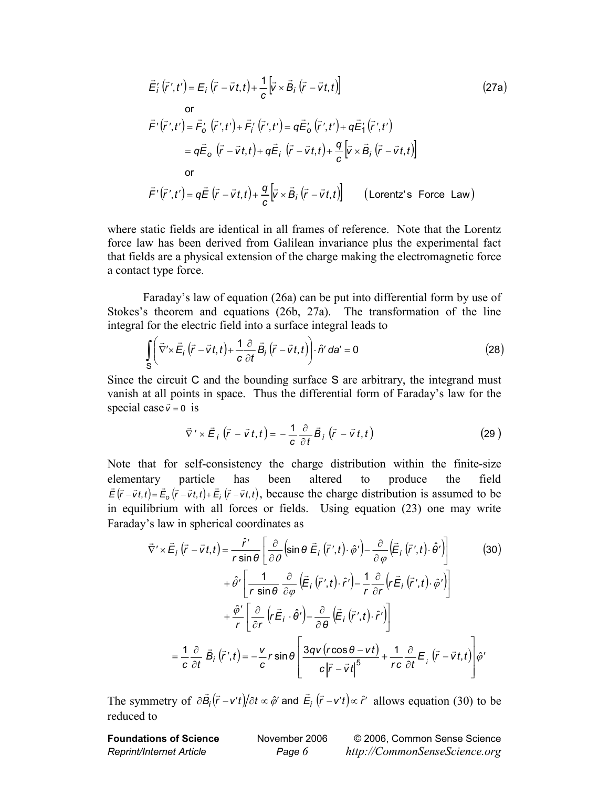$$
\vec{E}'_i(\vec{r}',t') = E_i(\vec{r}-\vec{v}t,t) + \frac{1}{c} [\vec{v} \times \vec{B}_i(\vec{r}-\vec{v}t,t)]
$$
\nor

\n
$$
\vec{F}'(\vec{r}',t') = \vec{F}'_0(\vec{r}',t') + \vec{F}'_i(\vec{r}',t') = q\vec{E}'_0(\vec{r}',t') + q\vec{E}'_1(\vec{r}',t')
$$
\n
$$
= q\vec{E}_0(\vec{r}-\vec{v}t,t) + q\vec{E}_i(\vec{r}-\vec{v}t,t) + \frac{q}{c} [\vec{v} \times \vec{B}_i(\vec{r}-\vec{v}t,t)]
$$
\nor

\n
$$
\vec{F}'(\vec{r}',t') = q\vec{E}(\vec{r}-\vec{v}t,t) + \frac{q}{c} [\vec{v} \times \vec{B}_i(\vec{r}-\vec{v}t,t)]
$$
\n(Lorentz's Force Law)

where static fields are identical in all frames of reference. Note that the Lorentz force law has been derived from Galilean invariance plus the experimental fact that fields are a physical extension of the charge making the electromagnetic force a contact type force.

Faraday's law of equation (26a) can be put into differential form by use of Stokes's theorem and equations (26b, 27a). The transformation of the line integral for the electric field into a surface integral leads to

$$
\int_{S} \left( \vec{\nabla}' \times \vec{E}_i \left( \vec{r} - \vec{v} t, t \right) + \frac{1}{c} \frac{\partial}{\partial t} \vec{B}_i \left( \vec{r} - \vec{v} t, t \right) \right) \cdot \hat{n}' \, d\mathbf{a}' = 0 \tag{28}
$$

Since the circuit C and the bounding surface S are arbitrary, the integrand must vanish at all points in space. Thus the differential form of Faraday's law for the special case  $\vec{v} = 0$  is

$$
\vec{\nabla}' \times \vec{E}_i \left( \vec{r} - \vec{v} t, t \right) = -\frac{1}{c} \frac{\partial}{\partial t} \vec{B}_i \left( \vec{r} - \vec{v} t, t \right)
$$
(29)

Note that for self-consistency the charge distribution within the finite-size elementary particle has been altered to produce the field  $\vec{E}(\vec{r}-\vec{v}t,t) = \vec{E}_o(\vec{r}-\vec{v}t,t) + \vec{E}_i(\vec{r}-\vec{v}t,t)$ , because the charge distribution is assumed to be in equilibrium with all forces or fields. Using equation (23) one may write Faraday's law in spherical coordinates as

$$
\vec{\nabla}' \times \vec{E}_i (\vec{r} - \vec{v}t, t) = \frac{\hat{r}'}{r \sin \theta} \left[ \frac{\partial}{\partial \theta} \left( \sin \theta \vec{E}_i (\vec{r}', t) \cdot \hat{\phi}' \right) - \frac{\partial}{\partial \varphi} \left( \vec{E}_i (\vec{r}', t) \cdot \hat{\theta}' \right) \right]
$$
(30)  
+  $\hat{\theta}' \left[ \frac{1}{r \sin \theta} \frac{\partial}{\partial \varphi} \left( \vec{E}_i (\vec{r}', t) \cdot \hat{r}' \right) - \frac{1}{r} \frac{\partial}{\partial r} \left( r \vec{E}_i (\vec{r}', t) \cdot \hat{\phi}' \right) \right]$   
+  $\frac{\hat{\phi}'}{r} \left[ \frac{\partial}{\partial r} \left( r \vec{E}_i \cdot \hat{\theta}' \right) - \frac{\partial}{\partial \theta} \left( \vec{E}_i (\vec{r}', t) \cdot \hat{r}' \right) \right]$   
=  $\frac{1}{c} \frac{\partial}{\partial t} \vec{B}_i (\vec{r}', t) = -\frac{v}{c} r \sin \theta \left[ \frac{3qv(r \cos \theta - vt)}{c |\vec{r} - \vec{v} t|^5} + \frac{1}{rc} \frac{\partial}{\partial t} \vec{E}_i (\vec{r} - \vec{v} t, t) \right] \hat{\phi}'$ 

The symmetry of  $\partial \vec{B}_i(\vec{r} - v't)/\partial t \propto \hat{\varphi}$  and  $\vec{E}_i(\vec{r} - v't) \propto \hat{r}$  allows equation (30) to be reduced to

**Foundations of Science** November 2006 © 2006, Common Sense Science *Reprint/Internet Article Page 6 http://CommonSenseScience.org*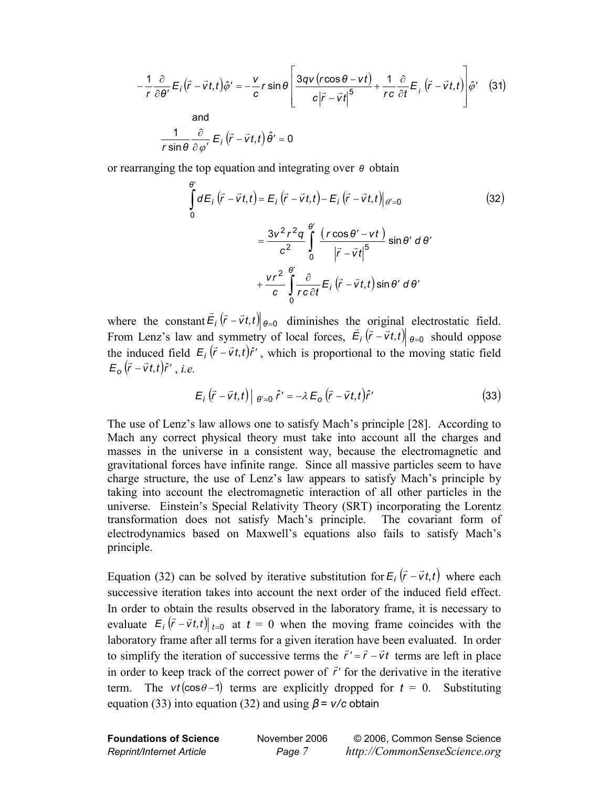$$
-\frac{1}{r}\frac{\partial}{\partial\theta'}E_i(\vec{r}-\vec{v}t,t)\hat{\varphi}'=-\frac{v}{c}r\sin\theta\left[\frac{3qv(r\cos\theta-vt)}{c|\vec{r}-\vec{v}t|^5}+\frac{1}{rc}\frac{\partial}{\partial t}E_i(\vec{r}-\vec{v}t,t)\right]\hat{\varphi}' \quad (31)
$$
  
and  

$$
\frac{1}{r\sin\theta}\frac{\partial}{\partial\varphi'}E_i(\vec{r}-\vec{v}t,t)\hat{\theta}'=0
$$

or rearranging the top equation and integrating over *θ* obtain

$$
\int_{0}^{\theta'} dE_{i} (\vec{r} - \vec{v}t, t) = E_{i} (\vec{r} - \vec{v}t, t) - E_{i} (\vec{r} - \vec{v}t, t)|_{\theta'=0}
$$
\n
$$
= \frac{3v^{2}r^{2}q}{c^{2}} \int_{0}^{\theta'} \frac{(r \cos \theta' - vt)}{|\vec{r} - \vec{v}t|^{5}} \sin \theta' d\theta'
$$
\n
$$
+ \frac{vr^{2}}{c} \int_{0}^{\theta'} \frac{\partial}{rc \partial t} E_{i} (\vec{r} - \vec{v}t, t) \sin \theta' d\theta'
$$
\n(32)

where the constant  $\vec{E}_i (\vec{r} - \vec{v}t, t) \big|_{\theta=0}$  diminishes the original electrostatic field. From Lenz's law and symmetry of local forces,  $\vec{E}_i (\vec{r} - \vec{v}t, t) \big|_{\theta=0}$  should oppose the induced field  $E_i(\vec{r} - \vec{v}t, t)\hat{r}'$ , which is proportional to the moving static field  $E_o(\vec{r} - \vec{v}t, t)\hat{r}'$ , *i.e.* 

$$
E_i(\vec{r} - \vec{v}t, t) \big|_{\theta' = 0} \hat{r}' = -\lambda E_o(\vec{r} - \vec{v}t, t)\hat{r}' \qquad (33)
$$

The use of Lenz's law allows one to satisfy Mach's principle [28]. According to Mach any correct physical theory must take into account all the charges and masses in the universe in a consistent way, because the electromagnetic and gravitational forces have infinite range. Since all massive particles seem to have charge structure, the use of Lenz's law appears to satisfy Mach's principle by taking into account the electromagnetic interaction of all other particles in the universe. Einstein's Special Relativity Theory (SRT) incorporating the Lorentz transformation does not satisfy Mach's principle. The covariant form of electrodynamics based on Maxwell's equations also fails to satisfy Mach's principle.

Equation (32) can be solved by iterative substitution for  $E_i(\vec{r} - \vec{v}t, t)$  where each successive iteration takes into account the next order of the induced field effect. In order to obtain the results observed in the laboratory frame, it is necessary to evaluate  $E_i (\vec{r} - \vec{v}t, t)|_{t=0}$  at  $t = 0$  when the moving frame coincides with the laboratory frame after all terms for a given iteration have been evaluated. In order to simplify the iteration of successive terms the  $\vec{r}' = \vec{r} - \vec{v}t$  terms are left in place in order to keep track of the correct power of  $\vec{r}$  for the derivative in the iterative term. The *vt* ( $cos\theta - 1$ ) terms are explicitly dropped for  $t = 0$ . Substituting equation (33) into equation (32) and using  $\beta = v/c$  obtain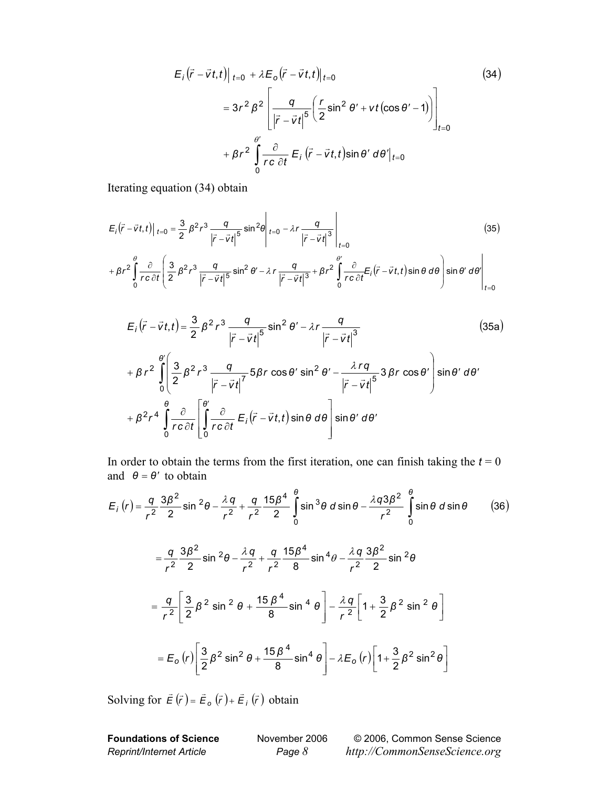$$
E_{i}(\vec{r} - \vec{v}t, t)|_{t=0} + \lambda E_{o}(\vec{r} - \vec{v}t, t)|_{t=0}
$$
\n
$$
= 3r^{2} \beta^{2} \left[ \frac{q}{|\vec{r} - \vec{v}t|^{5}} \left( \frac{r}{2} \sin^{2} \theta' + vt(\cos \theta' - 1) \right) \right]_{t=0}
$$
\n
$$
+ \beta r^{2} \int_{0}^{\theta'} \frac{\partial}{r c \partial t} E_{i}(\vec{r} - \vec{v}t, t) \sin \theta' d\theta'|_{t=0}
$$
\n(34)

 $\mathbf{r}$ 

Iterating equation (34) obtain

$$
E_{i}(\vec{r} - \vec{v}t, t)|_{t=0} = \frac{3}{2} \beta^{2} r^{3} \frac{q}{|\vec{r} - \vec{v}t|^{5}} \sin^{2}\theta \Big|_{t=0} - \lambda r \frac{q}{|\vec{r} - \vec{v}t|^{3}} \Big|_{t=0}
$$
\n
$$
+ \beta r^{2} \int_{0}^{\theta} \frac{\partial}{r c \partial t} \left( \frac{3}{2} \beta^{2} r^{3} \frac{q}{|\vec{r} - \vec{v}t|^{5}} \sin^{2}\theta' - \lambda r \frac{q}{|\vec{r} - \vec{v}t|^{3}} + \beta r^{2} \int_{0}^{\theta'} \frac{\partial}{r c \partial t} E_{i}(\vec{r} - \vec{v}t, t) \sin\theta d\theta \right) \sin\theta' d\theta' \Big|_{t=0}
$$
\n(35)

 $\overline{1}$ 

$$
E_i(\vec{r} - \vec{v}t, t) = \frac{3}{2} \beta^2 r^3 \frac{q}{|\vec{r} - \vec{v}t|^5} \sin^2 \theta' - \lambda r \frac{q}{|\vec{r} - \vec{v}t|^3}
$$
(35a)  
+  $\beta r^2 \int_0^{\theta'} \left( \frac{3}{2} \beta^2 r^3 \frac{q}{|\vec{r} - \vec{v}t|^7} 5 \beta r \cos \theta' \sin^2 \theta' - \frac{\lambda r q}{|\vec{r} - \vec{v}t|^5} 3 \beta r \cos \theta' \right) \sin \theta' d\theta'$   
+  $\beta^2 r^4 \int_0^{\theta} \frac{\partial}{r c \partial t} \left[ \int_0^{\theta'} \frac{\partial}{r c \partial t} E_i(\vec{r} - \vec{v}t, t) \sin \theta d\theta \right] \sin \theta' d\theta'$ 

In order to obtain the terms from the first iteration, one can finish taking the  $t = 0$ and  $\theta = \theta'$  to obtain

$$
E_{i}(r) = \frac{q}{r^{2}} \frac{3\beta^{2}}{2} \sin^{2}\theta - \frac{\lambda q}{r^{2}} + \frac{q}{r^{2}} \frac{15\beta^{4}}{2} \int_{0}^{\theta} \sin^{3}\theta \, d\sin\theta - \frac{\lambda q 3\beta^{2}}{r^{2}} \int_{0}^{\theta} \sin\theta \, d\sin\theta \qquad (36)
$$
  

$$
= \frac{q}{r^{2}} \frac{3\beta^{2}}{2} \sin^{2}\theta - \frac{\lambda q}{r^{2}} + \frac{q}{r^{2}} \frac{15\beta^{4}}{8} \sin^{4}\theta - \frac{\lambda q}{r^{2}} \frac{3\beta^{2}}{2} \sin^{2}\theta
$$
  

$$
= \frac{q}{r^{2}} \left[ \frac{3}{2}\beta^{2} \sin^{2}\theta + \frac{15\beta^{4}}{8} \sin^{4}\theta \right] - \frac{\lambda q}{r^{2}} \left[ 1 + \frac{3}{2}\beta^{2} \sin^{2}\theta \right]
$$
  

$$
= E_{o}(r) \left[ \frac{3}{2}\beta^{2} \sin^{2}\theta + \frac{15\beta^{4}}{8} \sin^{4}\theta \right] - \lambda E_{o}(r) \left[ 1 + \frac{3}{2}\beta^{2} \sin^{2}\theta \right]
$$

Solving for  $\vec{E}(\vec{r}) = \vec{E}_o(\vec{r}) + \vec{E}_i(\vec{r})$  obtain

**Foundations of Science** November 2006 © 2006, Common Sense Science *Reprint/Internet Article Page 8 http://CommonSenseScience.org*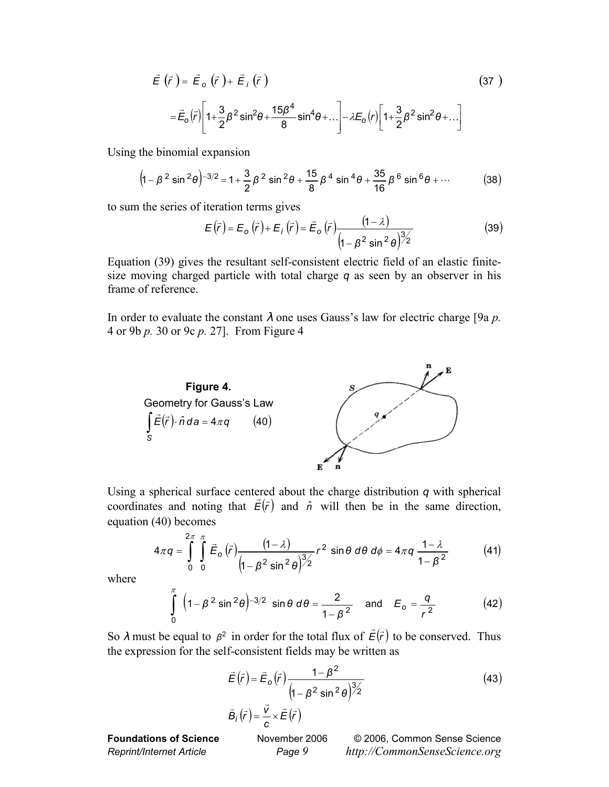$$
\vec{E}(\vec{r}) = \vec{E}_o(\vec{r}) + \vec{E}_i(\vec{r})
$$
\n
$$
= \vec{E}_o(\vec{r}) \bigg[ 1 + \frac{3}{2} \beta^2 \sin^2 \theta + \frac{15\beta^4}{8} \sin^4 \theta + \dots \bigg] - \lambda E_o(r) \bigg[ 1 + \frac{3}{2} \beta^2 \sin^2 \theta + \dots \bigg]
$$
\n(37)

Using the binomial expansion

$$
\left(1 - \beta^2 \sin^2 \theta\right)^{-3/2} = 1 + \frac{3}{2} \beta^2 \sin^2 \theta + \frac{15}{8} \beta^4 \sin^4 \theta + \frac{35}{16} \beta^6 \sin^6 \theta + \cdots \tag{38}
$$

to sum the series of iteration terms gives

$$
E(\vec{r}) = E_o(\vec{r}) + E_i(\vec{r}) = \vec{E}_o(\vec{r}) \frac{(1-\lambda)}{\left(1 - \beta^2 \sin^2 \theta\right)^{3/2}}
$$
(39)

Equation (39) gives the resultant self-consistent electric field of an elastic finitesize moving charged particle with total charge *q* as seen by an observer in his frame of reference.

In order to evaluate the constant  $\lambda$  one uses Gauss's law for electric charge [9a  $p$ . 4 or 9b *p.* 30 or 9c *p.* 27]. From Figure 4



Using a spherical surface centered about the charge distribution *q* with spherical coordinates and noting that  $\vec{E}(\vec{r})$  and  $\hat{n}$  will then be in the same direction, equation (40) becomes

$$
4\pi q = \int_{0}^{2\pi} \int_{0}^{\pi} \vec{E}_{o}(\vec{r}) \frac{(1-\lambda)}{(1-\beta^{2} \sin^{2}\theta)^{3/2}} r^{2} \sin \theta d\theta d\phi = 4\pi q \frac{1-\lambda}{1-\beta^{2}}
$$
(41)

where

$$
\int_{0}^{\pi} \left(1 - \beta^2 \sin^2 \theta\right)^{-3/2} \sin \theta \, d\theta = \frac{2}{1 - \beta^2} \quad \text{and} \quad E_o = \frac{q}{r^2} \tag{42}
$$

So  $\lambda$  must be equal to  $\beta^2$  in order for the total flux of  $\vec{E}(\vec{r})$  to be conserved. Thus the expression for the self-consistent fields may be written as

$$
\vec{E}(\vec{r}) = \vec{E}_o(\vec{r}) \frac{1 - \beta^2}{\left(1 - \beta^2 \sin^2 \theta\right)^{3/2}}
$$
\n
$$
\vec{B}_i(\vec{r}) = \frac{\vec{v}}{c} \times \vec{E}(\vec{r})
$$
\n(43)

**Foundations of Science** November 2006 © 2006, Common Sense Science *Reprint/Internet Article Page 9 http://CommonSenseScience.org*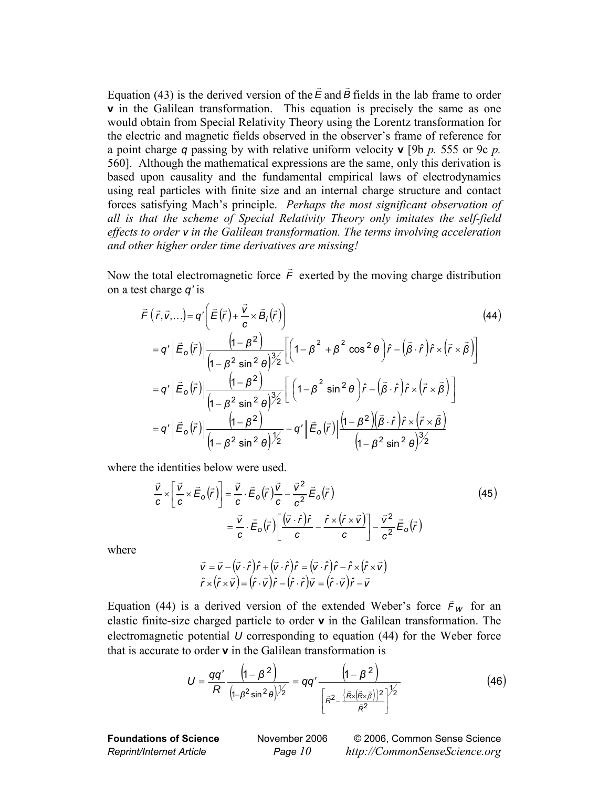Equation (43) is the derived version of the  $\vec{E}$  and  $\vec{B}$  fields in the lab frame to order **v** in the Galilean transformation. This equation is precisely the same as one would obtain from Special Relativity Theory using the Lorentz transformation for the electric and magnetic fields observed in the observer's frame of reference for a point charge *q* passing by with relative uniform velocity **v** [9b *p.* 555 or 9c *p.* 560]. Although the mathematical expressions are the same, only this derivation is based upon causality and the fundamental empirical laws of electrodynamics using real particles with finite size and an internal charge structure and contact forces satisfying Mach's principle. *Perhaps the most significant observation of all is that the scheme of Special Relativity Theory only imitates the self-field effects to order v in the Galilean transformation. The terms involving acceleration and other higher order time derivatives are missing!* 

Now the total electromagnetic force  $\vec{F}$  exerted by the moving charge distribution on a test charge *q'* is

$$
\vec{F}(\vec{r}, \vec{v}, \ldots) = q' \left( \vec{E}(\vec{r}) + \frac{\vec{v}}{c} \times \vec{B}_{i}(\vec{r}) \right)
$$
\n
$$
= q' \left| \vec{E}_{o}(\vec{r}) \right| \frac{\left(1 - \beta^{2}\right)}{\left(1 - \beta^{2} \sin^{2} \theta\right)^{3/2}} \left[ \left(1 - \beta^{2} + \beta^{2} \cos^{2} \theta\right) \hat{r} - \left(\vec{\beta} \cdot \hat{r}\right) \hat{r} \times \left(\vec{r} \times \vec{B}\right) \right]
$$
\n
$$
= q' \left| \vec{E}_{o}(\vec{r}) \right| \frac{\left(1 - \beta^{2}\right)}{\left(1 - \beta^{2} \sin^{2} \theta\right)^{3/2}} \left[ \left(1 - \beta^{2} \sin^{2} \theta\right) \hat{r} - \left(\vec{\beta} \cdot \hat{r}\right) \hat{r} \times \left(\vec{r} \times \vec{B}\right) \right]
$$
\n
$$
= q' \left| \vec{E}_{o}(\vec{r}) \right| \frac{\left(1 - \beta^{2}\right)}{\left(1 - \beta^{2} \sin^{2} \theta\right)^{3/2}} - q' \left| \vec{E}_{o}(\vec{r}) \right| \frac{\left(1 - \beta^{2}\right)\left(\vec{\beta} \cdot \hat{r}\right) \hat{r} \times \left(\vec{r} \times \vec{B}\right)}{\left(1 - \beta^{2} \sin^{2} \theta\right)^{3/2}}
$$
\n(10.40)

where the identities below were used.

$$
\frac{\vec{v}}{c} \times \left[ \frac{\vec{v}}{c} \times \vec{E}_o(\vec{r}) \right] = \frac{\vec{v}}{c} \cdot \vec{E}_o(\vec{r}) \frac{\vec{v}}{c} - \frac{\vec{v}^2}{c^2} \vec{E}_o(\vec{r})
$$
\n
$$
= \frac{\vec{v}}{c} \cdot \vec{E}_o(\vec{r}) \left[ \frac{(\vec{v} \cdot \hat{r})\hat{r}}{c} - \frac{\hat{r} \times (\hat{r} \times \vec{v})}{c} \right] - \frac{\vec{v}^2}{c^2} \vec{E}_o(\vec{r})
$$
\n(45)

where

$$
\vec{v} = \vec{v} - (\vec{v} \cdot \hat{r})\hat{r} + (\vec{v} \cdot \hat{r})\hat{r} = (\vec{v} \cdot \hat{r})\hat{r} - \hat{r} \times (\hat{r} \times \vec{v})
$$

$$
\hat{r} \times (\hat{r} \times \vec{v}) = (\hat{r} \cdot \vec{v})\hat{r} - (\hat{r} \cdot \hat{r})\vec{v} = (\hat{r} \cdot \vec{v})\hat{r} - \vec{v}
$$

Equation (44) is a derived version of the extended Weber's force  $\vec{F}_W$  for an elastic finite-size charged particle to order **v** in the Galilean transformation. The electromagnetic potential *U* corresponding to equation (44) for the Weber force that is accurate to order **v** in the Galilean transformation is

$$
U = \frac{qq'}{R} \frac{\left(1 - \beta^2\right)}{\left(1 - \beta^2 \sin^2 \theta\right)^{1/2}} = qq' \frac{\left(1 - \beta^2\right)}{\left[\bar{\kappa}^2 - \frac{\left(\bar{\kappa} \times (\bar{\kappa} \times \bar{\beta})\right)^{2}}{\bar{\kappa}^2}\right]^{1/2}}
$$
(46)

**Foundations of Science** November 2006 © 2006, Common Sense Science *Reprint/Internet Article Page 10 http://CommonSenseScience.org*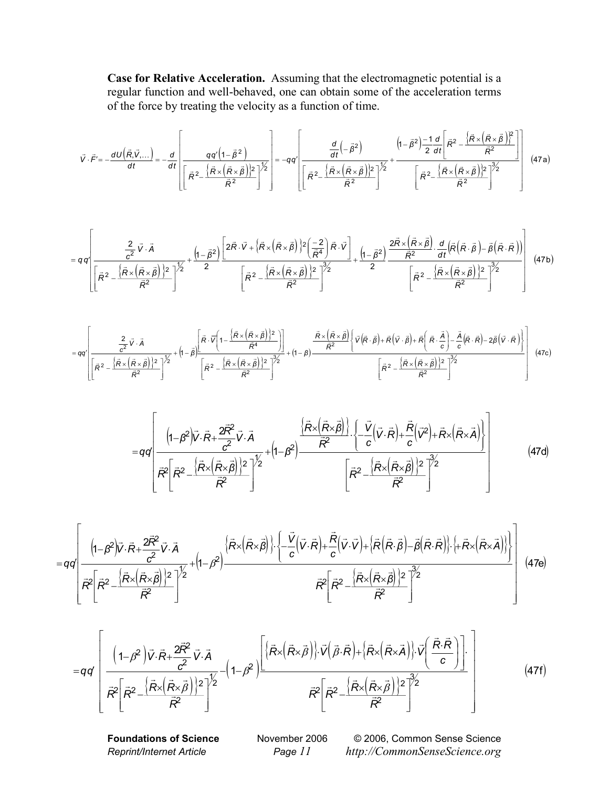**Case for Relative Acceleration.** Assuming that the electromagnetic potential is a regular function and well-behaved, one can obtain some of the acceleration terms of the force by treating the velocity as a function of time.

$$
\vec{V} \cdot \vec{F}' = -\frac{dU(\vec{R}, \vec{V},...)}{dt} = -\frac{d}{dt} \left[ \frac{qq'(1-\vec{\beta}^2)}{\left[\vec{R}^2 - \frac{\left\{\vec{R}\times(\vec{R}\times\vec{\beta})\right\}^2}{\vec{R}^2}\right]^{\frac{1}{2}}} \right] = -qq'\left[ \frac{\frac{d}{dt}(-\vec{\beta}^2)}{\left[\vec{R}^2 - \frac{\left\{\vec{R}\times(\vec{R}\times\vec{\beta})\right\}^2}{\vec{R}^2}\right]^{\frac{1}{2}}} + \frac{\left(1-\vec{\beta}^2\right)\frac{-1}{2}\frac{d}{dt}\left[\vec{R}^2 - \frac{\left\{\vec{R}\times(\vec{R}\times\vec{\beta})\right\}^2}{\vec{R}^2}\right]^{\frac{3}{2}}}{\left[\vec{R}^2 - \frac{\left\{\vec{R}\times(\vec{R}\times\vec{\beta})\right\}^2}{\vec{R}^2}\right]^{\frac{3}{2}}} \right]
$$
(47a)

$$
=q\,q'\left[\frac{\frac{2}{c^2}\vec{V}\cdot\vec{A}}{\left[\bar{R}^2-\frac{\left\{\bar{R}\times\left(\bar{R}\times\vec{\beta}\right)\right\}^2}{\bar{R}^2}\right]^{\frac{1}{2}}}+\frac{\left(1-\bar{\beta}^2\right)\left[2\bar{R}\cdot\vec{V}+\left\{\bar{R}\times\left(\bar{R}\times\vec{\beta}\right)\right\}^2\left(\frac{-2}{\bar{R}^4}\right)\bar{R}\cdot\vec{V}\right]}{\left[\bar{R}^2-\frac{\left\{\bar{R}\times\left(\bar{R}\times\vec{\beta}\right)\right\}^2}{\bar{R}^2}\right]^{\frac{3}{2}}+\frac{\left(1-\bar{\beta}^2\right)}{2}\frac{2\bar{R}\times\left(\bar{R}\times\vec{\beta}\right)\cdot d}{\bar{R}^2}\cdot\frac{d\left(\bar{R}\cdot\vec{R}\right)-\bar{\beta}\left(\bar{R}\cdot\vec{R}\right)\right)}{\left[\bar{R}^2-\frac{\left\{\bar{R}\times\left(\bar{R}\times\vec{\beta}\right)\right\}^2}{\bar{R}^2}\right]^{\frac{3}{2}}}\right]^{3/2}\left[\bar{R}^2-\frac{\left\{\bar{R}\times\left(\bar{R}\times\vec{\beta}\right)\right\}^2}{\bar{R}^2}\right]^{\frac{3}{2}}\right]
$$
(47b)

$$
=qq'\left[\frac{\frac{2}{c^{2}}\vec{V}\cdot\vec{A}}{\left[\vec{R}^{2}-\frac{\{\vec{R}\times(\vec{R}\times\vec{B})\}^{2}}{\vec{R}^{2}}\right]^{2}\right]^{2}+ \left(1-\vec{\beta}\right)\frac{\left[\vec{R}\cdot\vec{V}\left(1-\frac{\{\vec{R}\times(\vec{R}\times\vec{B})\}^{2}}{\vec{R}^{4}}\right)\right]}{\left[\vec{R}^{2}-\frac{\{\vec{R}\times(\vec{R}\times\vec{B})\}^{2}}{\vec{R}^{2}}\right]^{2}\right]}+\left(1-\beta\right)\frac{\vec{R}\times(\vec{R}\times\vec{B})\left\{\vec{V}\left(\vec{R}\cdot\vec{B}\right)+\vec{R}\left(\vec{V}\cdot\vec{B}\right)+\vec{R}\left(\vec{R}\cdot\frac{\vec{A}}{c}\right)-\frac{\vec{A}}{c}\left(\vec{R}\cdot\vec{R}\right)-2\vec{\beta}\left(\vec{V}\cdot\vec{R}\right)\right\}}{\left[\vec{R}^{2}-\frac{\{\vec{R}\times(\vec{R}\times\vec{B})\}^{2}}{\vec{R}^{2}}\right]^{2/2}\left[\vec{R}^{2}-\frac{\{\vec{R}\times(\vec{R}\times\vec{B})\}^{2}}{\vec{R}^{2}}\right]^{2}/2}\right]^{2}/47c}
$$
(47c)

$$
=qq\left(\frac{\left(1-\beta^{2}\right)\vec{V}\cdot\vec{R}+\frac{2\vec{R}^{2}}{c^{2}}\vec{V}\cdot\vec{A}}{\vec{R}^{2}\left[\vec{R}^{2}-\frac{\left\{\vec{R}\times\left(\vec{R}\times\vec{B}\right)\right\}\cdot\left\{-\frac{\vec{V}}{c}\left(\vec{V}\cdot\vec{R}\right)+\frac{\vec{R}}{c}\left(\vec{V}^{2}\right)+\vec{R}\times\left(\vec{R}\times\vec{A}\right)\right\}}{\vec{R}^{2}\left[\vec{R}^{2}-\frac{\left\{\vec{R}\times\left(\vec{R}\times\vec{B}\right)\right\}^{2}}{\vec{R}^{2}}\right]^{2}}\right]^{2}\left[\vec{R}^{2}-\frac{\left\{\vec{R}\times\left(\vec{R}\times\vec{B}\right)\right\}^{2}}{\vec{R}^{2}}\right]^{2}^{2}\right]
$$
\n(47d)

$$
=qq\left(\frac{\left(1-\beta^{2}\right)\!\vec{V}\cdot\vec{R}+\frac{2\vec{R}^{2}}{c^{2}}\vec{V}\cdot\vec{A}}{\left.\vec{R}^{2}\left[\vec{R}^{2}-\frac{\left\{\vec{R}\times\left(\vec{R}\times\vec{B}\right)\right\}^{2}}{\vec{R}^{2}}\right]^{2}}+\left(1-\beta^{2}\right)\frac{\left\{\vec{R}\times\left(\vec{R}\times\vec{B}\right)\right\} \cdot\left\{-\frac{\vec{V}}{c}\left(\vec{V}\cdot\vec{R}\right)+\frac{\vec{R}}{c}\left(\vec{V}\cdot\vec{V}\right)+\left\{\vec{R}\left(\vec{R}\cdot\vec{B}\right)-\vec{B}\left(\vec{R}\cdot\vec{R}\right)\right\} \cdot\left\{+\vec{R}\times\left(\vec{R}\times\vec{A}\right)\right\}\right\}}{\left.\vec{R}^{2}\left[\vec{R}^{2}-\frac{\left\{\vec{R}\times\left(\vec{R}\times\vec{B}\right)\right\}^{2}}{\vec{R}^{2}}\right]^{2}}\right]^{2}}\right)\left(47e\right)
$$

$$
=q\dot{q}\left[\frac{\left(1-\beta^{2}\right)\overrightarrow{V}\cdot\overrightarrow{R}+\frac{2\overrightarrow{R}^{2}}{c^{2}}\overrightarrow{V}\cdot\overrightarrow{A}}{\overrightarrow{R}^{2}\left[\overrightarrow{R}\times\left(\overrightarrow{R}\times\overrightarrow{\beta}\right)\right]^{2}}-\left(1-\beta^{2}\right)\frac{\left[\left\langle\overrightarrow{R}\times\left(\overrightarrow{R}\times\overrightarrow{\beta}\right)\right\rangle:\overrightarrow{V}\left(\overrightarrow{\beta}\cdot\overrightarrow{R}\right)+\left\langle\overrightarrow{R}\times\left(\overrightarrow{R}\times\overrightarrow{A}\right)\right\rangle:\overrightarrow{V}\left(\frac{\overrightarrow{R}\cdot\overrightarrow{R}}{c}\right)\right]\cdot}{\overrightarrow{R}^{2}\left[\overrightarrow{R}^{2}-\frac{\left\langle\overrightarrow{R}\times\left(\overrightarrow{R}\times\overrightarrow{\beta}\right)\right\rangle^{2}}{\overrightarrow{R}^{2}}\right]^{2}}
$$
\n(47f)

**Foundations of Science** November 2006 © 2006, Common Sense Science *Reprint/Internet Article Page 11 http://CommonSenseScience.org*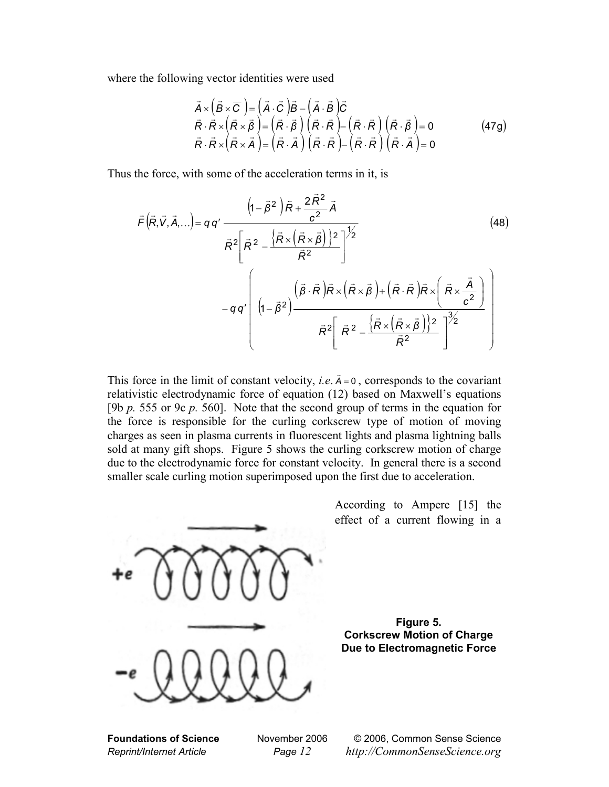where the following vector identities were used

$$
\vec{A} \times (\vec{B} \times \vec{C}) = (\vec{A} \cdot \vec{C})\vec{B} - (\vec{A} \cdot \vec{B})\vec{C} \n\vec{R} \cdot \vec{R} \times (\vec{R} \times \vec{B}) = (\vec{R} \cdot \vec{B}) (\vec{R} \cdot \vec{R}) - (\vec{R} \cdot \vec{R}) (\vec{R} \cdot \vec{B}) = 0 \n\vec{R} \cdot \vec{R} \times (\vec{R} \times \vec{A}) = (\vec{R} \cdot \vec{A}) (\vec{R} \cdot \vec{R}) - (\vec{R} \cdot \vec{R}) (\vec{R} \cdot \vec{A}) = 0
$$
\n(47g)

Thus the force, with some of the acceleration terms in it, is

$$
\vec{F}(\vec{R}, \vec{V}, \vec{A}, \ldots) = q q' \frac{\left(1 - \vec{\beta}^2\right) \vec{R} + \frac{2 \vec{R}^2}{c^2} \vec{A}}{\vec{R}^2 \left[\vec{R}^2 - \frac{\left\{\vec{R} \times \left(\vec{R} \times \vec{\beta}\right)\right\}^2}{\vec{R}^2}\right]^{1/2}} - q q' \left(1 - \vec{\beta}^2\right) \frac{\left(\vec{\beta} \cdot \vec{R}\right) \vec{R} \times \left(\vec{R} \times \vec{\beta}\right) + \left(\vec{R} \cdot \vec{R}\right) \vec{R} \times \left(\vec{R} \times \frac{\vec{A}}{c^2}\right)}{\vec{R}^2 \left[\vec{R}^2 - \frac{\left\{\vec{R} \times \left(\vec{R} \times \vec{\beta}\right)\right\}^2}{\vec{R}^2}\right]^{3/2}}
$$
\n(48)

This force in the limit of constant velocity, *i.e.*  $\vec{A} = 0$ , corresponds to the covariant relativistic electrodynamic force of equation (12) based on Maxwell's equations [9b *p.* 555 or 9c *p.* 560]. Note that the second group of terms in the equation for the force is responsible for the curling corkscrew type of motion of moving charges as seen in plasma currents in fluorescent lights and plasma lightning balls sold at many gift shops. Figure 5 shows the curling corkscrew motion of charge due to the electrodynamic force for constant velocity. In general there is a second smaller scale curling motion superimposed upon the first due to acceleration.



**Foundations of Science** November 2006 © 2006, Common Sense Science *Reprint/Internet Article Page 12 http://CommonSenseScience.org*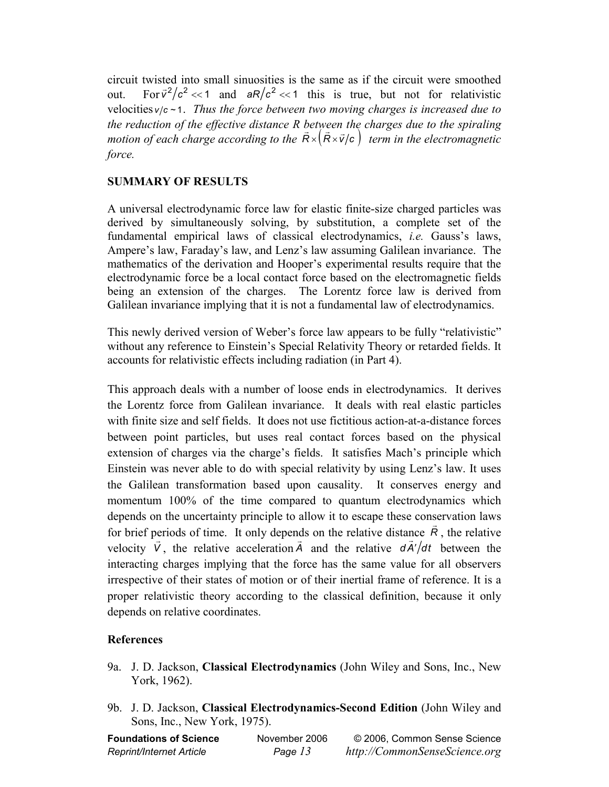circuit twisted into small sinuosities is the same as if the circuit were smoothed out. For  $\bar{v}^2/c^2 \ll 1$  and  $aR/c^2 \ll 1$  this is true, but not for relativistic velocities  $v/c \sim 1$ . *Thus the force between two moving charges is increased due to the reduction of the effective distance R between the charges due to the spiraling motion of each charge according to the*  $\vec{R} \times (\vec{R} \times \vec{v}/c)$  *term in the electromagnetic force.*

## **SUMMARY OF RESULTS**

A universal electrodynamic force law for elastic finite-size charged particles was derived by simultaneously solving, by substitution, a complete set of the fundamental empirical laws of classical electrodynamics, *i.e.* Gauss's laws, Ampere's law, Faraday's law, and Lenz's law assuming Galilean invariance. The mathematics of the derivation and Hooper's experimental results require that the electrodynamic force be a local contact force based on the electromagnetic fields being an extension of the charges. The Lorentz force law is derived from Galilean invariance implying that it is not a fundamental law of electrodynamics.

This newly derived version of Weber's force law appears to be fully "relativistic" without any reference to Einstein's Special Relativity Theory or retarded fields. It accounts for relativistic effects including radiation (in Part 4).

This approach deals with a number of loose ends in electrodynamics. It derives the Lorentz force from Galilean invariance. It deals with real elastic particles with finite size and self fields. It does not use fictitious action-at-a-distance forces between point particles, but uses real contact forces based on the physical extension of charges via the charge's fields. It satisfies Mach's principle which Einstein was never able to do with special relativity by using Lenz's law. It uses the Galilean transformation based upon causality. It conserves energy and momentum 100% of the time compared to quantum electrodynamics which depends on the uncertainty principle to allow it to escape these conservation laws for brief periods of time. It only depends on the relative distance  $\vec{R}$ , the relative velocity  $\vec{V}$ , the relative acceleration  $\vec{A}$  and the relative  $d\vec{A}/dt$  between the interacting charges implying that the force has the same value for all observers irrespective of their states of motion or of their inertial frame of reference. It is a proper relativistic theory according to the classical definition, because it only depends on relative coordinates.

## **References**

- 9a. J. D. Jackson, **Classical Electrodynamics** (John Wiley and Sons, Inc., New York, 1962).
- 9b. J. D. Jackson, **Classical Electrodynamics-Second Edition** (John Wiley and Sons, Inc., New York, 1975).

| <b>Foundations of Science</b>   | November 2006 | © 2006, Common Sense Science  |
|---------------------------------|---------------|-------------------------------|
| <b>Reprint/Internet Article</b> | Page 13       | http://CommonSenseScience.org |